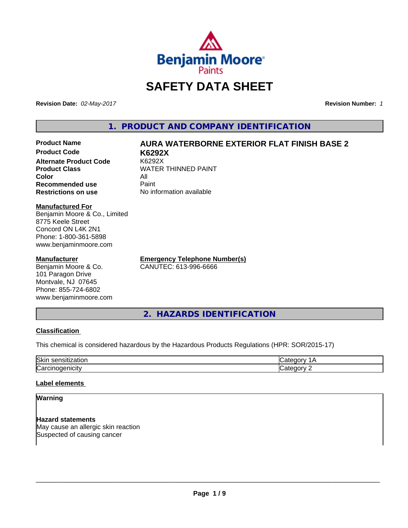

# **SAFETY DATA SHEET**

**Revision Date:** *02-May-2017* **Revision Number:** *1*

**1. PRODUCT AND COMPANY IDENTIFICATION**

# **Product Name AURA WATERBORNE EXTERIOR FLAT FINISH BASE 2**

**Product Code K6292X Alternate Product Code Product Class** WATER THINNED PAINT<br>
Color **Color** All **Recommended use** Paint **Restrictions on use** No information available

**Manufactured For** Benjamin Moore & Co., Limited 8775 Keele Street Concord ON L4K 2N1 Phone: 1-800-361-5898 www.benjaminmoore.com

## **Manufacturer**

Benjamin Moore & Co. 101 Paragon Drive Montvale, NJ 07645 Phone: 855-724-6802 www.benjaminmoore.com **Emergency Telephone Number(s)** CANUTEC: 613-996-6666

**2. HAZARDS IDENTIFICATION**

## **Classification**

This chemical is considered hazardous by the Hazardous Products Regulations (HPR: SOR/2015-17)

| Skir<br>,,,<br>. |  |
|------------------|--|
| ∽<br>.<br>ιUα    |  |

# **Label elements**

# **Warning**

**Hazard statements** May cause an allergic skin reaction Suspected of causing cancer

 $\overline{\phantom{a}}$  ,  $\overline{\phantom{a}}$  ,  $\overline{\phantom{a}}$  ,  $\overline{\phantom{a}}$  ,  $\overline{\phantom{a}}$  ,  $\overline{\phantom{a}}$  ,  $\overline{\phantom{a}}$  ,  $\overline{\phantom{a}}$  ,  $\overline{\phantom{a}}$  ,  $\overline{\phantom{a}}$  ,  $\overline{\phantom{a}}$  ,  $\overline{\phantom{a}}$  ,  $\overline{\phantom{a}}$  ,  $\overline{\phantom{a}}$  ,  $\overline{\phantom{a}}$  ,  $\overline{\phantom{a}}$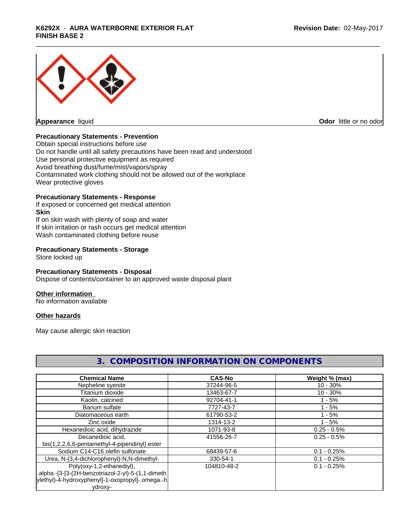# \_\_\_\_\_\_\_\_\_\_\_\_\_\_\_\_\_\_\_\_\_\_\_\_\_\_\_\_\_\_\_\_\_\_\_\_\_\_\_\_\_\_\_\_\_\_\_\_\_\_\_\_\_\_\_\_\_\_\_\_\_\_\_\_\_\_\_\_\_\_\_\_\_\_\_\_\_\_\_\_\_\_\_\_\_\_\_\_\_\_\_\_\_ **K6292X** - **AURA WATERBORNE EXTERIOR FLAT FINISH BASE 2**



**Appearance** liquid **Contract Contract Contract Contract Contract Contract Contract Contract Contract Contract Contract Contract Contract Contract Contract Contract Contract Contract Contract Contract Contract Contract Con** 

# **Precautionary Statements - Prevention**

Obtain special instructions before use Do not handle until all safety precautions have been read and understood Use personal protective equipment as required Avoid breathing dust/fume/mist/vapors/spray Contaminated work clothing should not be allowed out of the workplace Wear protective gloves

## **Precautionary Statements - Response**

If exposed or concerned get medical attention **Skin** If on skin wash with plenty of soap and water If skin irritation or rash occurs get medical attention Wash contaminated clothing before reuse

## **Precautionary Statements - Storage**

Store locked up

## **Precautionary Statements - Disposal**

Dispose of contents/container to an approved waste disposal plant

## **Other information**

No information available

## **Other hazards**

May cause allergic skin reaction

| <b>Chemical Name</b>                                | <b>CAS-No</b> | Weight % (max) |
|-----------------------------------------------------|---------------|----------------|
| Nepheline syenite                                   | 37244-96-5    | $10 - 30%$     |
| Titanium dioxide                                    | 13463-67-7    | $10 - 30%$     |
| Kaolin, calcined                                    | 92704-41-1    | $1 - 5%$       |
| Barium sulfate                                      | 7727-43-7     | $1 - 5%$       |
| Diatomaceous earth                                  | 61790-53-2    | $1 - 5%$       |
| Zinc oxide                                          | 1314-13-2     | $1 - 5%$       |
| Hexanedioic acid, dihydrazide                       | 1071-93-8     | $0.25 - 0.5%$  |
| Decanedioic acid,                                   | 41556-26-7    | $0.25 - 0.5\%$ |
| bis(1,2,2,6,6-pentamethyl-4-piperidinyl) ester      |               |                |
| Sodium C14-C16 olefin sulfonate                     | 68439-57-6    | $0.1 - 0.25%$  |
| Urea, N-(3,4-dichlorophenyl)-N,N-dimethyl-          | 330-54-1      | $0.1 - 0.25%$  |
| Poly(oxy-1,2-ethanediyl),                           | 104810-48-2   | $0.1 - 0.25%$  |
| .alpha.-[3-[3-(2H-benzotriazol-2-yl)-5-(1,1-dimeth) |               |                |
| ylethyl)-4-hydroxyphenyl]-1-oxopropyl]-.omega.-h    |               |                |
| ydroxy-                                             |               |                |

# **3. COMPOSITION INFORMATION ON COMPONENTS**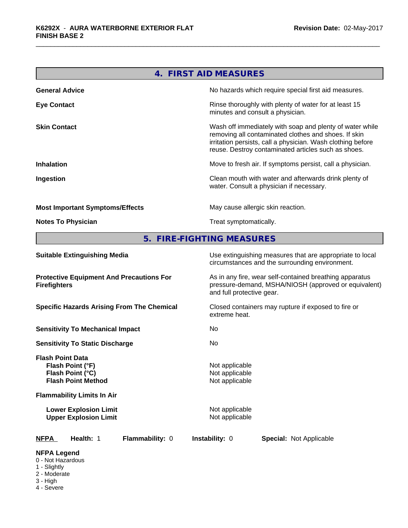| 4. FIRST AID MEASURES                  |                                                                                                                                                                                                                                        |  |  |
|----------------------------------------|----------------------------------------------------------------------------------------------------------------------------------------------------------------------------------------------------------------------------------------|--|--|
| <b>General Advice</b>                  | No hazards which require special first aid measures.                                                                                                                                                                                   |  |  |
| <b>Eye Contact</b>                     | Rinse thoroughly with plenty of water for at least 15<br>minutes and consult a physician.                                                                                                                                              |  |  |
| <b>Skin Contact</b>                    | Wash off immediately with soap and plenty of water while<br>removing all contaminated clothes and shoes. If skin<br>irritation persists, call a physician. Wash clothing before<br>reuse. Destroy contaminated articles such as shoes. |  |  |
| <b>Inhalation</b>                      | Move to fresh air. If symptoms persist, call a physician.                                                                                                                                                                              |  |  |
| Ingestion                              | Clean mouth with water and afterwards drink plenty of<br>water. Consult a physician if necessary.                                                                                                                                      |  |  |
| <b>Most Important Symptoms/Effects</b> | May cause allergic skin reaction.                                                                                                                                                                                                      |  |  |
| <b>Notes To Physician</b>              | Treat symptomatically.                                                                                                                                                                                                                 |  |  |

**5. FIRE-FIGHTING MEASURES**

| <b>Suitable Extinguishing Media</b>                                                                                               | Use extinguishing measures that are appropriate to local<br>circumstances and the surrounding environment.                                   |
|-----------------------------------------------------------------------------------------------------------------------------------|----------------------------------------------------------------------------------------------------------------------------------------------|
| <b>Protective Equipment And Precautions For</b><br><b>Firefighters</b>                                                            | As in any fire, wear self-contained breathing apparatus<br>pressure-demand, MSHA/NIOSH (approved or equivalent)<br>and full protective gear. |
| <b>Specific Hazards Arising From The Chemical</b>                                                                                 | Closed containers may rupture if exposed to fire or<br>extreme heat.                                                                         |
| <b>Sensitivity To Mechanical Impact</b>                                                                                           | No.                                                                                                                                          |
| <b>Sensitivity To Static Discharge</b>                                                                                            | No.                                                                                                                                          |
| <b>Flash Point Data</b><br>Flash Point (°F)<br>Flash Point (°C)<br><b>Flash Point Method</b><br><b>Flammability Limits In Air</b> | Not applicable<br>Not applicable<br>Not applicable                                                                                           |
| <b>Lower Explosion Limit</b><br><b>Upper Explosion Limit</b>                                                                      | Not applicable<br>Not applicable                                                                                                             |
| Flammability: 0<br><b>NFPA</b><br>Health: 1                                                                                       | <b>Instability: 0</b><br><b>Special: Not Applicable</b>                                                                                      |
| <b>NFPA Legend</b><br>0 - Not Hazardous<br>1 - Slightly<br>2 - Moderate                                                           |                                                                                                                                              |

- 3 High
- 4 Severe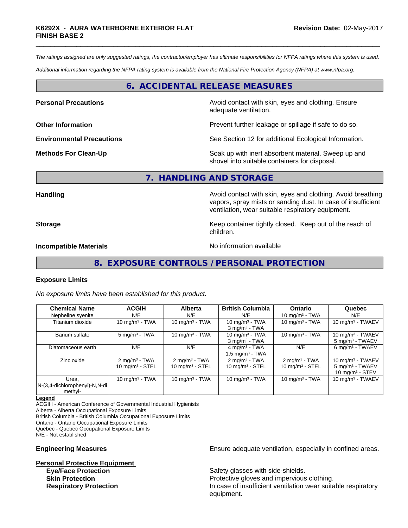*The ratings assigned are only suggested ratings, the contractor/employer has ultimate responsibilities for NFPA ratings where this system is used.*

*Additional information regarding the NFPA rating system is available from the National Fire Protection Agency (NFPA) at www.nfpa.org.*

# **6. ACCIDENTAL RELEASE MEASURES**

**Personal Precautions Precautions** Avoid contact with skin, eyes and clothing. Ensure adequate ventilation.

**Other Information Discription Prevent further leakage or spillage if safe to do so.** 

**Environmental Precautions** See Section 12 for additional Ecological Information.

**Methods For Clean-Up** Soak up with inert absorbent material. Sweep up and shovel into suitable containers for disposal.

vapors, spray mists or sanding dust. In case of insufficient

ventilation, wear suitable respiratory equipment.

#### **7. HANDLING AND STORAGE**

children.

**Handling Handling Avoid contact with skin, eyes and clothing. Avoid breathing Handling A** 

**Storage Keep container tightly closed.** Keep out of the reach of

**Incompatible Materials** Noinformation available

# **8. EXPOSURE CONTROLS / PERSONAL PROTECTION**

#### **Exposure Limits**

*No exposure limits have been established for this product.*

| <b>Chemical Name</b>                                 | <b>ACGIH</b>                                           | <b>Alberta</b>                                         | <b>British Columbia</b>                                    | <b>Ontario</b>                               | Quebec                                                                   |
|------------------------------------------------------|--------------------------------------------------------|--------------------------------------------------------|------------------------------------------------------------|----------------------------------------------|--------------------------------------------------------------------------|
| Nepheline syenite                                    | N/E                                                    | N/E                                                    | N/E                                                        | 10 mg/m $3$ - TWA                            | N/E                                                                      |
| Titanium dioxide                                     | 10 mg/m $3$ - TWA                                      | 10 mg/m $3$ - TWA                                      | 10 mg/m $3$ - TWA<br>$3$ mg/m $3$ - TWA                    | 10 mg/m $3$ - TWA                            | 10 mg/m $3$ - TWAEV                                                      |
| Barium sulfate                                       | $5 \text{ mg/m}^3$ - TWA                               | 10 mg/m $3$ - TWA                                      | 10 mg/m $3$ - TWA<br>$3$ mg/m $3$ - TWA                    | 10 mg/m $3$ - TWA                            | 10 mg/m $3$ - TWAEV<br>5 mg/m <sup>3</sup> - TWAEV                       |
| Diatomaceous earth                                   | N/E                                                    | N/E                                                    | $4$ mg/m <sup>3</sup> - TWA<br>1.5 mg/m <sup>3</sup> - TWA | N/E                                          | 6 mg/m <sup>3</sup> - TWAEV                                              |
| Zinc oxide                                           | $2 \text{ mg/m}^3$ - TWA<br>$10 \text{ mg/m}^3$ - STEL | $2 \text{ mg/m}^3$ - TWA<br>$10 \text{ mg/m}^3$ - STEL | $2 \text{ mg/m}^3$ - TWA<br>$10 \text{ mg/m}^3$ - STEL     | $2 \text{mq/m}^3$ - TWA<br>10 $mg/m3$ - STEL | 10 mg/m $3$ - TWAEV<br>5 mg/m <sup>3</sup> - TWAEV<br>10 $mq/m^3$ - STEV |
| Urea.<br>$N-(3,4$ -dichlorophenyl)-N,N-di<br>methyl- | 10 mg/m $3$ - TWA                                      | 10 mg/m $3 - TWA$                                      | 10 mg/m $3$ - TWA                                          | 10 mg/m $3$ - TWA                            | 10 mg/m $3$ - TWAEV                                                      |

**Legend**

ACGIH - American Conference of Governmental Industrial Hygienists Alberta - Alberta Occupational Exposure Limits British Columbia - British Columbia Occupational Exposure Limits Ontario - Ontario Occupational Exposure Limits Quebec - Quebec Occupational Exposure Limits N/E - Not established

**Personal Protective Equipment Eye/Face Protection** Safety glasses with side-shields.

**Engineering Measures Ensure** Ensure adequate ventilation, especially in confined areas.

**Skin Protection Protection Protective gloves and impervious clothing. Respiratory Protection In case of insufficient ventilation wear suitable respiratory** equipment.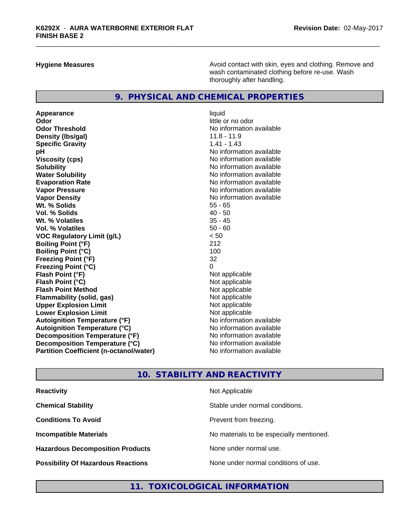**Hygiene Measures Avoid contact with skin, eyes and clothing. Remove and Avoid contact with skin, eyes and clothing. Remove and Avoid contact with skin, eyes and clothing. Remove and** wash contaminated clothing before re-use. Wash thoroughly after handling.

# **9. PHYSICAL AND CHEMICAL PROPERTIES**

Appearance liquid **Odor** little or no odor **Odor Threshold** No information available **Density (Ibs/gal)** 11.8 - 11.9<br> **Specific Gravity** 1.41 - 1.43 **Specific Gravity pH pH**  $\blacksquare$ **Viscosity (cps)** No information available **Solubility No information available No information available Water Solubility No information available No information available Evaporation Rate No information available No information available Vapor Pressure**<br> **Vapor Density**<br> **Vapor Density**<br> **Vapor Density**<br> **Vapor Algebra Algebra Algebra Algebra Algebra Algebra Algebra Algebra Algebra Algebra Algebra Algebra Algebra Algebra Algebra Algebra Algebra Algebra Al Wt. % Solids** 55 - 65<br> **Vol. % Solids** 40 - 50 **Vol. % Solids** 40 - 50 **Wt. % Volatiles** 35 - 45<br> **Vol. % Volatiles** 35 - 45 **Vol. % Volatiles VOC Regulatory Limit (g/L)** < 50 **Boiling Point (°F)** 212 **Boiling Point (°C)** 100 **Freezing Point (°F)** 32 **Freezing Point (°C)** 0 **Flash Point (°F)** Not applicable **Flash Point (°C)**<br> **Flash Point Method**<br> **Flash Point Method**<br> **CO Flash Point Method Flammability (solid, gas)** Not applicable **Upper Explosion Limit**<br> **Lower Explosion Limit**<br> **Lower Explosion Limit Lower Explosion Limit**<br> **Autoignition Temperature (°F)**<br> **Autoignition Temperature (°F)**<br> **Autoignition Temperature (°F) Autoignition Temperature (°F) Autoignition Temperature (°C)** No information available **Decomposition Temperature (°F)** No information available **Decomposition Temperature (°C)** No information available **Partition Coefficient (n-octanol/water)** No information available

**No information available** 

# **10. STABILITY AND REACTIVITY**

| <b>Reactivity</b>                         | Not Applicable                           |
|-------------------------------------------|------------------------------------------|
| <b>Chemical Stability</b>                 | Stable under normal conditions.          |
| <b>Conditions To Avoid</b>                | Prevent from freezing.                   |
| <b>Incompatible Materials</b>             | No materials to be especially mentioned. |
| <b>Hazardous Decomposition Products</b>   | None under normal use.                   |
| <b>Possibility Of Hazardous Reactions</b> | None under normal conditions of use.     |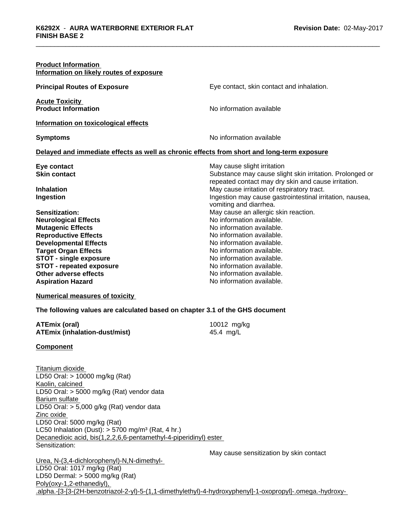| <b>Product Information</b><br>Information on likely routes of exposure                     |                                                                                    |
|--------------------------------------------------------------------------------------------|------------------------------------------------------------------------------------|
| <b>Principal Routes of Exposure</b>                                                        | Eye contact, skin contact and inhalation.                                          |
| <b>Acute Toxicity</b><br><b>Product Information</b>                                        | No information available                                                           |
| Information on toxicological effects                                                       |                                                                                    |
| <b>Symptoms</b>                                                                            | No information available                                                           |
| Delayed and immediate effects as well as chronic effects from short and long-term exposure |                                                                                    |
| Eye contact                                                                                | May cause slight irritation                                                        |
| <b>Skin contact</b>                                                                        | Substance may cause slight skin irritation. Prolonged or                           |
|                                                                                            | repeated contact may dry skin and cause irritation.                                |
| <b>Inhalation</b>                                                                          | May cause irritation of respiratory tract.                                         |
| Ingestion                                                                                  | Ingestion may cause gastrointestinal irritation, nausea,<br>vomiting and diarrhea. |
| Sensitization:                                                                             | May cause an allergic skin reaction.                                               |
| <b>Neurological Effects</b>                                                                | No information available.                                                          |
| <b>Mutagenic Effects</b>                                                                   | No information available.                                                          |
| <b>Reproductive Effects</b>                                                                | No information available.                                                          |
| <b>Developmental Effects</b>                                                               | No information available.                                                          |
| <b>Target Organ Effects</b>                                                                | No information available.                                                          |
| <b>STOT - single exposure</b>                                                              | No information available.                                                          |
| <b>STOT - repeated exposure</b>                                                            | No information available.                                                          |
| Other adverse effects                                                                      | No information available.                                                          |
| <b>Aspiration Hazard</b>                                                                   | No information available.                                                          |
|                                                                                            |                                                                                    |

#### **Numerical measures of toxicity**

#### **The following values are calculated based on chapter 3.1 of the GHS document**

| ATEmix (oral)                 | 10012 mg/kg |
|-------------------------------|-------------|
| ATEmix (inhalation-dust/mist) | 45.4 mg/L   |

#### **Component**

Titanium dioxide LD50 Oral: > 10000 mg/kg (Rat) Kaolin, calcined LD50 Oral: > 5000 mg/kg (Rat) vendor data Barium sulfate LD50 Oral: > 5,000 g/kg (Rat) vendor data Zinc oxide LD50 Oral: 5000 mg/kg (Rat) LC50 Inhalation (Dust):  $> 5700$  mg/m<sup>3</sup> (Rat, 4 hr.) Decanedioic acid, bis(1,2,2,6,6-pentamethyl-4-piperidinyl) ester Sensitization:

May cause sensitization by skin contact

Urea, N-(3,4-dichlorophenyl)-N,N-dimethyl- LD50 Oral: 1017 mg/kg (Rat) LD50 Dermal: > 5000 mg/kg (Rat) Poly(oxy-1,2-ethanediyl), .alpha.-[3-[3-(2H-benzotriazol-2-yl)-5-(1,1-dimethylethyl)-4-hydroxyphenyl]-1-oxopropyl]-.omega.-hydroxy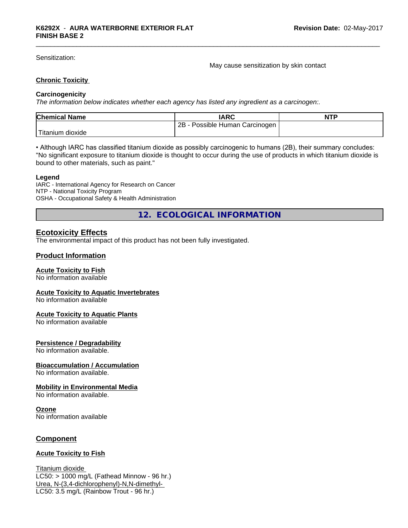Sensitization:

May cause sensitization by skin contact

## **Chronic Toxicity**

## **Carcinogenicity**

*The information below indicateswhether each agency has listed any ingredient as a carcinogen:.*

| <b>Chemical Name</b> | <b>IARC</b>                     | <b>NTP</b> |
|----------------------|---------------------------------|------------|
|                      | 2B<br>Possible Human Carcinogen |            |
| 'Titanium<br>dioxide |                                 |            |

• Although IARC has classified titanium dioxide as possibly carcinogenic to humans (2B), their summary concludes: "No significant exposure to titanium dioxide is thought to occur during the use of products in which titanium dioxide is bound to other materials, such as paint."

#### **Legend**

IARC - International Agency for Research on Cancer NTP - National Toxicity Program OSHA - Occupational Safety & Health Administration

**12. ECOLOGICAL INFORMATION**

# **Ecotoxicity Effects**

The environmental impact of this product has not been fully investigated.

# **Product Information**

## **Acute Toxicity to Fish**

No information available

#### **Acute Toxicity to Aquatic Invertebrates**

No information available

#### **Acute Toxicity to Aquatic Plants**

No information available

## **Persistence / Degradability**

No information available.

## **Bioaccumulation / Accumulation**

No information available.

## **Mobility in Environmental Media**

No information available.

#### **Ozone**

No information available

# **Component**

## **Acute Toxicity to Fish**

Titanium dioxide  $LC50:$  > 1000 mg/L (Fathead Minnow - 96 hr.) Urea, N-(3,4-dichlorophenyl)-N,N-dimethyl- LC50: 3.5 mg/L (Rainbow Trout - 96 hr.)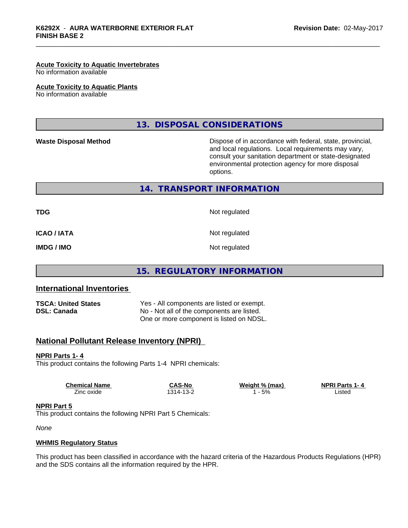#### **Acute Toxicity to Aquatic Invertebrates**

No information available

#### **Acute Toxicity to Aquatic Plants**

No information available

# **13. DISPOSAL CONSIDERATIONS**

**Waste Disposal Method Dispose of in accordance with federal, state, provincial,** and local regulations. Local requirements may vary, consult your sanitation department or state-designated environmental protection agency for more disposal options.

**14. TRANSPORT INFORMATION**

**TDG** Not regulated

**ICAO / IATA** Not regulated

**IMDG / IMO** Not regulated

**15. REGULATORY INFORMATION**

# **International Inventories**

**TSCA: United States** Yes - All components are listed or exempt. **DSL: Canada** No - Not all of the components are listed. One or more component is listed on NDSL.

# **National Pollutant Release Inventory (NPRI)**

## **NPRI Parts 1- 4**

This product contains the following Parts 1-4 NPRI chemicals:

| <b>Chemical Name</b> | <b>CAS-Nc</b>   | Weight % (max) | NPR'<br>$\sim$ Parts $\sim$<br>1 - 4 |
|----------------------|-----------------|----------------|--------------------------------------|
| Zinc oxide           | 314-<br>∵ -دی ، | 5%             | ∟isted<br>.                          |

#### **NPRI Part 5**

This product contains the following NPRI Part 5 Chemicals:

*None*

## **WHMIS Regulatory Status**

This product has been classified in accordance with the hazard criteria of the Hazardous Products Regulations (HPR) and the SDS contains all the information required by the HPR.